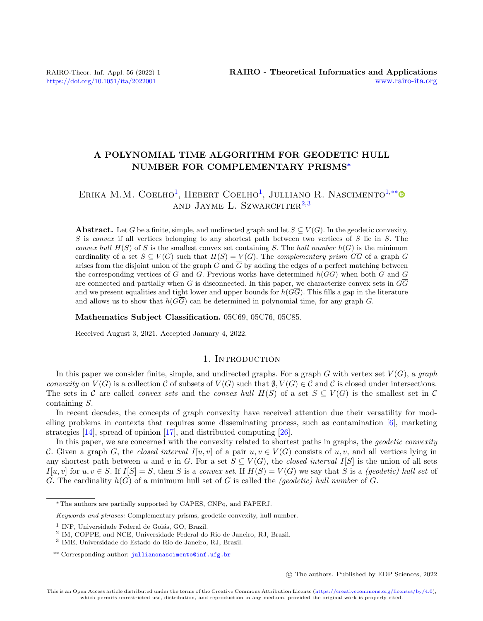# A POLYNOMIAL TIME ALGORITHM FOR GEODETIC HULL NUMBER FOR COMPLEMENTARY PRISMS<sup>∗</sup>

# ERIKA M.M. COELHO<sup>[1](#page-0-0)</sup>, HEBERT COELHO<sup>1</sup>, JULLIANO R. NASCIMENTO<sup>[1,](#page-0-0)[\\*\\*](#page-0-1)</sup> AND JAYME L. SZWARCFITER<sup>[2,](#page-0-2)[3](#page-0-3)</sup>

**Abstract.** Let G be a finite, simple, and undirected graph and let  $S \subseteq V(G)$ . In the geodetic convexity,  $S$  is convex if all vertices belonging to any shortest path between two vertices of  $S$  lie in  $S$ . The convex hull  $H(S)$  of S is the smallest convex set containing S. The hull number  $h(G)$  is the minimum cardinality of a set  $S \subseteq V(G)$  such that  $H(S) = V(G)$ . The *complementary prism GG* of a graph G arises from the disjoint union of the graph G and  $\overline{G}$  by adding the edges of a perfect matching between the corresponding vertices of G and  $\overline{G}$ . Previous works have determined  $h(G\overline{G})$  when both G and  $\overline{G}$ are connected and partially when G is disconnected. In this paper, we characterize convex sets in  $G\overline{G}$ and we present equalities and tight lower and upper bounds for  $h(G\overline{G})$ . This fills a gap in the literature and allows us to show that  $h(G\overline{G})$  can be determined in polynomial time, for any graph G.

Mathematics Subject Classification. 05C69, 05C76, 05C85.

Received August 3, 2021. Accepted January 4, 2022.

# 1. INTRODUCTION

In this paper we consider finite, simple, and undirected graphs. For a graph G with vertex set  $V(G)$ , a graph convexity on  $V(G)$  is a collection C of subsets of  $V(G)$  such that  $\emptyset, V(G) \in \mathcal{C}$  and C is closed under intersections. The sets in C are called *convex sets* and the *convex hull*  $H(S)$  of a set  $S \subseteq V(G)$  is the smallest set in C containing S.

In recent decades, the concepts of graph convexity have received attention due their versatility for modelling problems in contexts that requires some disseminating process, such as contamination [\[6\]](#page-9-0), marketing strategies [\[14\]](#page-9-1), spread of opinion [\[17\]](#page-9-2), and distributed computing [\[26\]](#page-10-0).

In this paper, we are concerned with the convexity related to shortest paths in graphs, the geodetic convexity C. Given a graph G, the closed interval I[u, v] of a pair  $u, v \in V(G)$  consists of  $u, v$ , and all vertices lying in any shortest path between u and v in G. For a set  $S \subseteq V(G)$ , the closed interval I[S] is the union of all sets  $I[u, v]$  for  $u, v \in S$ . If  $I[S] = S$ , then S is a convex set. If  $H(S) = V(G)$  we say that S is a (geodetic) hull set of G. The cardinality  $h(G)$  of a minimum hull set of G is called the *(geodetic) hull number* of G.

c The authors. Published by EDP Sciences, 2022

<sup>∗</sup>The authors are partially supported by CAPES, CNPq, and FAPERJ.

<span id="page-0-1"></span>Keywords and phrases: Complementary prisms, geodetic convexity, hull number.

<span id="page-0-0"></span><sup>&</sup>lt;sup>1</sup> INF, Universidade Federal de Goiás, GO, Brazil.

<span id="page-0-2"></span><sup>2</sup> IM, COPPE, and NCE, Universidade Federal do Rio de Janeiro, RJ, Brazil.

<span id="page-0-3"></span><sup>3</sup> IME, Universidade do Estado do Rio de Janeiro, RJ, Brazil.

<sup>\*\*</sup> Corresponding author: [jullianonascimento@inf.ufg.br](mailto:jullianonascimento@inf.ufg.br)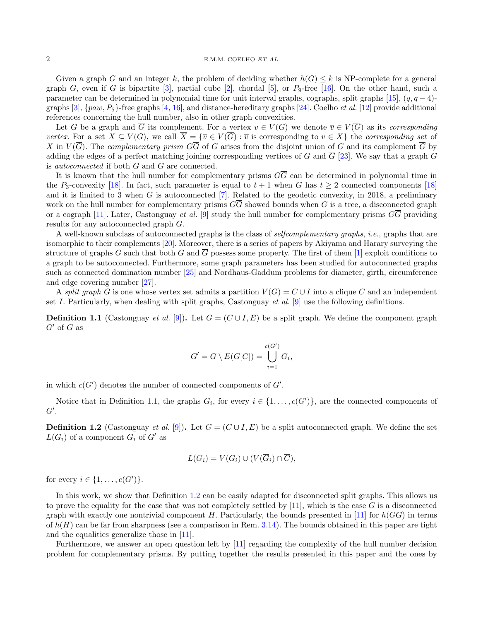#### 2 E.M.M. COELHO  $ETAL$

Given a graph G and an integer k, the problem of deciding whether  $h(G) \leq k$  is NP-complete for a general graph G, even if G is bipartite [\[3\]](#page-9-3), partial cube [\[2\]](#page-9-4), chordal [\[5\]](#page-9-5), or  $P_9$ -free [\[16\]](#page-9-6). On the other hand, such a parameter can be determined in polynomial time for unit interval graphs, cographs, split graphs [\[15\]](#page-9-7),  $(q, q - 4)$ -graphs [\[3\]](#page-9-3),  $\{paw, P_5\}$ -free graphs [\[4,](#page-9-8) [16\]](#page-9-6), and distance-hereditary graphs [\[24\]](#page-9-9). Coelho *et al.* [\[12\]](#page-9-10) provide additional references concerning the hull number, also in other graph convexities.

Let G be a graph and  $\overline{G}$  its complement. For a vertex  $v \in V(G)$  we denote  $\overline{v} \in V(\overline{G})$  as its corresponding vertex. For a set  $X \subseteq V(G)$ , we call  $\overline{X} = \{\overline{v} \in V(\overline{G}) : \overline{v} \text{ is corresponding to } v \in X\}$  the corresponding set of X in  $V(\overline{G})$ . The complementary prism  $G\overline{G}$  of G arises from the disjoint union of G and its complement  $\overline{G}$  by adding the edges of a perfect matching joining corresponding vertices of G and  $\overline{G}$  [\[23\]](#page-9-11). We say that a graph G is *autoconnected* if both G and  $\overline{G}$  are connected.

It is known that the hull number for complementary prisms  $G\overline{G}$  can be determined in polynomial time in the P<sub>3</sub>-convexity [\[18\]](#page-9-12). In fact, such parameter is equal to  $t + 1$  when G has  $t \ge 2$  connected components [18] and it is limited to 3 when G is autoconnected  $[7]$ . Related to the geodetic convexity, in 2018, a preliminary work on the hull number for complementary prisms  $G\overline{G}$  showed bounds when G is a tree, a disconnected graph or a cograph [\[11\]](#page-9-14). Later, Castonguay et al. [\[9\]](#page-9-15) study the hull number for complementary prisms  $G\overline{G}$  providing results for any autoconnected graph G.

A well-known subclass of autoconnected graphs is the class of selfcomplementary graphs, i.e., graphs that are isomorphic to their complements [\[20\]](#page-9-16). Moreover, there is a series of papers by Akiyama and Harary surveying the structure of graphs G such that both G and  $\overline{G}$  possess some property. The first of them [\[1\]](#page-9-17) exploit conditions to a graph to be autoconnected. Furthermore, some graph parameters has been studied for autoconnected graphs such as connected domination number [\[25\]](#page-9-18) and Nordhaus-Gaddum problems for diameter, girth, circumference and edge covering number [\[27\]](#page-10-1).

A split graph G is one whose vertex set admits a partition  $V(G) = C \cup I$  into a clique C and an independent set I. Particularly, when dealing with split graphs, Castonguay *et al.* [\[9\]](#page-9-15) use the following definitions.

<span id="page-1-0"></span>**Definition 1.1** (Castonguay *et al.* [\[9\]](#page-9-15)). Let  $G = (C \cup I, E)$  be a split graph. We define the component graph  $G'$  of G as

$$
G' = G \setminus E(G[C]) = \bigcup_{i=1}^{c(G')} G_i,
$$

in which  $c(G')$  denotes the number of connected components of  $G'$ .

Notice that in Definition [1.1,](#page-1-0) the graphs  $G_i$ , for every  $i \in \{1, ..., c(G')\}$ , are the connected components of  $G^{\prime}$ .

<span id="page-1-1"></span>**Definition 1.2** (Castonguay *et al.* [\[9\]](#page-9-15)). Let  $G = (C \cup I, E)$  be a split autoconnected graph. We define the set  $L(G_i)$  of a component  $G_i$  of  $G'$  as

$$
L(G_i) = V(G_i) \cup (V(\overline{G}_i) \cap \overline{C}),
$$

for every  $i \in \{1, \ldots, c(G')\}.$ 

In this work, we show that Definition [1.2](#page-1-1) can be easily adapted for disconnected split graphs. This allows us to prove the equality for the case that was not completely settled by  $[11]$ , which is the case G is a disconnected graph with exactly one nontrivial component H. Particularly, the bounds presented in [\[11\]](#page-9-14) for  $h(GG)$  in terms of  $h(H)$  can be far from sharpness (see a comparison in Rem. [3.14\)](#page-7-0). The bounds obtained in this paper are tight and the equalities generalize those in [\[11\]](#page-9-14).

Furthermore, we answer an open question left by [\[11\]](#page-9-14) regarding the complexity of the hull number decision problem for complementary prisms. By putting together the results presented in this paper and the ones by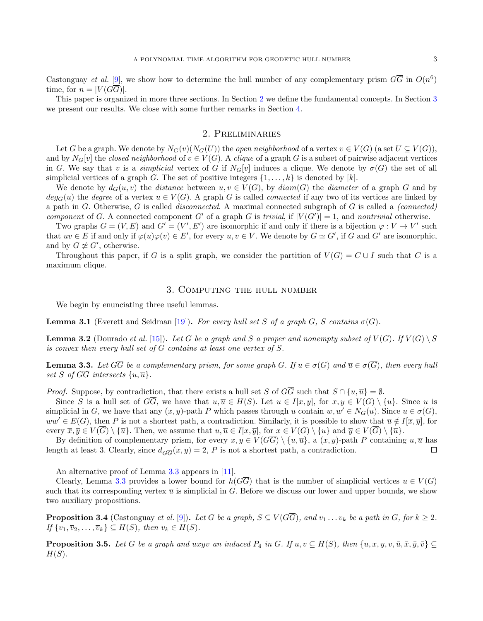Castonguay et al. [\[9\]](#page-9-15), we show how to determine the hull number of any complementary prism  $G\overline{G}$  in  $O(n^6)$ time, for  $n = |V(G\overline{G})|$ .

This paper is organized in more three sections. In Section [2](#page-2-0) we define the fundamental concepts. In Section [3](#page-2-1) we present our results. We close with some further remarks in Section [4.](#page-9-19)

## 2. Preliminaries

<span id="page-2-0"></span>Let G be a graph. We denote by  $N_G(v)(N_G(U))$  the *open neighborhood* of a vertex  $v \in V(G)$  (a set  $U \subseteq V(G)$ ), and by  $N_G[v]$  the closed neighborhood of  $v \in V(G)$ . A clique of a graph G is a subset of pairwise adjacent vertices in G. We say that v is a *simplicial* vertex of G if  $N_G[v]$  induces a clique. We denote by  $\sigma(G)$  the set of all simplicial vertices of a graph G. The set of positive integers  $\{1, \ldots, k\}$  is denoted by  $[k]$ .

We denote by  $d_G(u, v)$  the distance between  $u, v \in V(G)$ , by  $diam(G)$  the diameter of a graph G and by  $deg_G(u)$  the degree of a vertex  $u \in V(G)$ . A graph G is called *connected* if any two of its vertices are linked by a path in G. Otherwise, G is called *disconnected*. A maximal connected subgraph of G is called a *(connected)* component of G. A connected component G' of a graph G is trivial, if  $|V(G')|=1$ , and nontrivial otherwise.

Two graphs  $G = (V, E)$  and  $G' = (V', E')$  are isomorphic if and only if there is a bijection  $\varphi : V \to V'$  such that  $uv \in E$  if and only if  $\varphi(u)\varphi(v) \in E'$ , for every  $u, v \in V$ . We denote by  $G \simeq G'$ , if G and G' are isomorphic, and by  $G \not\simeq G'$ , otherwise.

Throughout this paper, if G is a split graph, we consider the partition of  $V(G) = C \cup I$  such that C is a maximum clique.

## 3. Computing the hull number

<span id="page-2-1"></span>We begin by enunciating three useful lemmas.

<span id="page-2-4"></span>**Lemma 3.1** (Everett and Seidman [\[19\]](#page-9-20)). For every hull set S of a graph G, S contains  $\sigma(G)$ .

<span id="page-2-5"></span>**Lemma 3.2** (Dourado et al. [\[15\]](#page-9-7)). Let G be a graph and S a proper and nonempty subset of  $V(G)$ . If  $V(G) \setminus S$ is convex then every hull set of  $G$  contains at least one vertex of  $S$ .

<span id="page-2-2"></span>**Lemma 3.3.** Let  $G\overline{G}$  be a complementary prism, for some graph G. If  $u \in \sigma(G)$  and  $\overline{u} \in \sigma(\overline{G})$ , then every hull set S of  $G\overline{G}$  intersects  $\{u,\overline{u}\}.$ 

*Proof.* Suppose, by contradiction, that there exists a hull set S of  $G\overline{G}$  such that  $S \cap \{u, \overline{u}\} = \emptyset$ .

Since S is a hull set of  $G\overline{G}$ , we have that  $u, \overline{u} \in H(S)$ . Let  $u \in I[x, y]$ , for  $x, y \in V(G) \setminus \{u\}$ . Since u is simplicial in G, we have that any  $(x, y)$ -path P which passes through u contain  $w, w' \in N_G(u)$ . Since  $u \in \sigma(G)$ ,  $ww' \in E(G)$ , then P is not a shortest path, a contradiction. Similarly, it is possible to show that  $\overline{u} \notin I[\overline{x}, \overline{y}]$ , for every  $\overline{x}, \overline{y} \in V(\overline{G}) \setminus {\overline{u}}$ . Then, we assume that  $u, \overline{u} \in I[x, \overline{y}]$ , for  $x \in V(G) \setminus {u}$  and  $\overline{y} \in V(\overline{G}) \setminus {\overline{u}}$ .

By definition of complementary prism, for every  $x, y \in V(G\overline{G}) \setminus \{u, \overline{u}\}\)$ , a  $(x, y)$ -path P containing  $u, \overline{u}$  has length at least 3. Clearly, since  $d_{\overline{GG}}(x, y) = 2$ , P is not a shortest path, a contradiction.  $\Box$ 

An alternative proof of Lemma [3.3](#page-2-2) appears in [\[11\]](#page-9-14).

Clearly, Lemma [3.3](#page-2-2) provides a lower bound for  $h(G\overline{G})$  that is the number of simplicial vertices  $u \in V(G)$ such that its corresponding vertex  $\bar{u}$  is simplicial in  $\bar{G}$ . Before we discuss our lower and upper bounds, we show two auxiliary propositions.

<span id="page-2-3"></span>**Proposition 3.4** (Castonguay et al. [\[9\]](#page-9-15)). Let G be a graph,  $S \subseteq V(G\overline{G})$ , and  $v_1 \ldots v_k$  be a path in G, for  $k \geq 2$ . If  $\{v_1, \overline{v}_2, \ldots, \overline{v}_k\} \subseteq H(S)$ , then  $v_k \in H(S)$ .

<span id="page-2-6"></span>**Proposition 3.5.** Let G be a graph and uxyv an induced  $P_4$  in G. If  $u, v \subseteq H(S)$ , then  $\{u, x, y, v, \bar{u}, \bar{x}, \bar{y}, \bar{v}\} \subseteq$  $H(S)$ .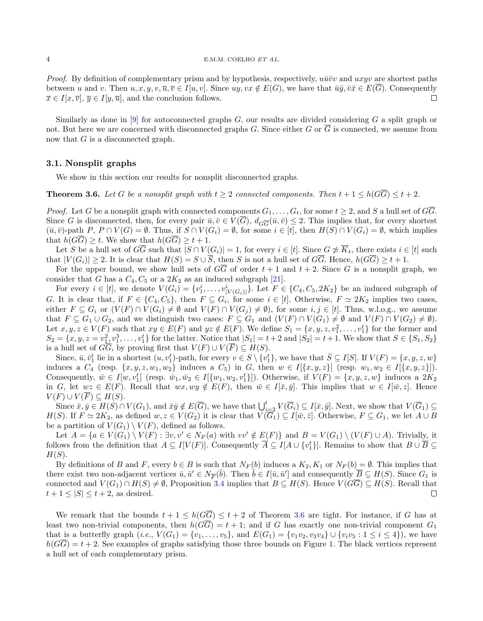#### 4 E.M.M. COELHO ET AL.

*Proof.* By definition of complementary prism and by hypothesis, respectively,  $u\bar{u}\bar{v}v$  and uxyv are shortest paths between u and v. Then  $u, x, y, v, \overline{u}, \overline{v} \in I[u, v]$ . Since  $uy, vx \notin E(G)$ , we have that  $\overline{u}\overline{y}, \overline{v}\overline{x} \in E(\overline{G})$ . Consequently  $\overline{x} \in I[x, \overline{v}], \overline{y} \in I[y, \overline{u}],$  and the conclusion follows.  $\Box$ 

Similarly as done in [\[9\]](#page-9-15) for autoconnected graphs  $G$ , our results are divided considering  $G$  a split graph or not. But here we are concerned with disconnected graphs G. Since either G or  $\overline{G}$  is connected, we assume from now that G is a disconnected graph.

#### 3.1. Nonsplit graphs

We show in this section our results for nonsplit disconnected graphs.

<span id="page-3-0"></span>**Theorem 3.6.** Let G be a nonsplit graph with  $t > 2$  connected components. Then  $t + 1 \leq h(G\overline{G}) \leq t + 2$ .

*Proof.* Let G be a nonsplit graph with connected components  $G_1, \ldots, G_t$ , for some  $t \geq 2$ , and S a hull set of  $\overline{GG}$ . Since G is disconnected, then, for every pair  $\bar{u}, \bar{v} \in V(\overline{G})$ ,  $d_{G\overline{G}}(\bar{u}, \bar{v}) \leq 2$ . This implies that, for every shortest  $(\bar{u}, \bar{v})$ -path P,  $P \cap V(G) = \emptyset$ . Thus, if  $S \cap V(G_i) = \emptyset$ , for some  $i \in [t]$ , then  $H(S) \cap V(G_i) = \emptyset$ , which implies that  $h(G\overline{G}) \geq t$ . We show that  $h(G\overline{G}) \geq t+1$ .

Let S be a hull set of  $G\overline{G}$  such that  $|S \cap V(G_i)| = 1$ , for every  $i \in [t]$ . Since  $G \not\simeq \overline{K}_t$ , there exists  $i \in [t]$  such that  $|V(G_i)| \geq 2$ . It is clear that  $H(S) = S \cup \overline{S}$ , then S is not a hull set of  $G\overline{G}$ . Hence,  $h(G\overline{G}) \geq t+1$ .

For the upper bound, we show hull sets of  $G\overline{G}$  of order  $t + 1$  and  $t + 2$ . Since G is a nonsplit graph, we consider that G has a  $C_4$ ,  $C_5$  or a  $2K_2$  as an induced subgraph [\[21\]](#page-9-21).

For every  $i \in [t]$ , we denote  $V(G_i) = \{v_1^i, \ldots, v_{|V(G_i)|}^i\}$ . Let  $F \in \{C_4, C_5, 2K_2\}$  be an induced subgraph of G. It is clear that, if  $F \in \{C_4, C_5\}$ , then  $F \subseteq G_i$ , for some  $i \in [t]$ . Otherwise,  $F \simeq 2K_2$  implies two cases, either  $F \subseteq G_i$  or  $(V(F) \cap V(G_i) \neq \emptyset$  and  $V(F) \cap V(G_j) \neq \emptyset$ , for some  $i, j \in [t]$ . Thus, w.l.o.g., we assume that  $F \subseteq G_1 \cup G_2$ , and we distinguish two cases:  $F \subseteq G_1$  and  $(V(F) \cap V(G_1) \neq \emptyset$  and  $V(F) \cap V(G_2) \neq \emptyset$ . Let  $x, y, z \in V(F)$  such that  $xy \in E(F)$  and  $yz \notin E(F)$ . We define  $S_1 = \{x, y, z, v_1^2, \ldots, v_1^t\}$  for the former and  $S_2 = \{x, y, z = v_1^2, v_1^3, \dots, v_1^t\}$  for the latter. Notice that  $|S_1| = t + 2$  and  $|S_2| = t + 1$ . We show that  $S \in \{S_1, S_2\}$ is a hull set of  $G\overline{G}$ , by proving first that  $V(F) \cup V(\overline{F}) \subseteq H(S)$ .

Since,  $\bar{u}, \bar{v}_1^t$  lie in a shortest  $(u, v_1^t)$ -path, for every  $v \in S \setminus \{v_1^t\}$ , we have that  $\bar{S} \subseteq I[S]$ . If  $V(F) = \{x, y, z, w\}$ induces a  $C_4$  (resp.  $\{x, y, z, w_1, w_2\}$  induces a  $C_5$ ) in G, then  $w \in I[\{x, y, z\}]$  (resp.  $w_1, w_2 \in I[\{x, y, z\}]$ ). Consequently,  $\bar{w} \in I[w, v_1^t]$  (resp.  $\bar{w}_1, \bar{w}_2 \in I[\{w_1, w_2, v_1^t\}])$ . Otherwise, if  $V(F) = \{x, y, z, w\}$  induces a  $2K_2$ in G, let  $wz \in E(F)$ . Recall that  $wx, wy \notin E(F)$ , then  $\bar{w} \in I[\bar{x}, \bar{y}]$ . This implies that  $w \in I[\bar{w}, z]$ . Hence  $V(F) \cup V(\overline{F}) \subseteq H(S).$ 

Since  $\bar{x}, \bar{y} \in H(S) \cap V(G_1)$ , and  $\bar{x}\bar{y} \notin E(\overline{G})$ , we have that  $\bigcup_{i=2}^{t} V(\overline{G}_i) \subseteq I[\bar{x}, \bar{y}]$ . Next, we show that  $V(\overline{G}_1) \subseteq$  $H(S)$ . If  $F \simeq 2K_2$ , as defined  $w, z \in V(G_2)$  it is clear that  $V(G_1) \subseteq I[\bar{w}, \bar{z}]$ . Otherwise,  $F \subseteq G_1$ , we let  $A \cup B$ be a partition of  $V(G_1) \setminus V(F)$ , defined as follows.

Let  $A = \{a \in V(G_1) \setminus V(F) : \exists v, v' \in N_F(a) \text{ with } vv' \notin E(F)\}\$ and  $B = V(G_1) \setminus (V(F) \cup A)$ . Trivially, it follows from the definition that  $A \subseteq I[V(F)]$ . Consequently  $\overline{A} \subseteq I[A \cup \{v_1^t\}]$ . Remains to show that  $B \cup \overline{B} \subseteq$  $H(S)$ .

By definitions of B and F, every  $b \in B$  is such that  $N_F(b)$  induces a  $K_2, K_1$  or  $N_F(b) = \emptyset$ . This implies that there exist two non-adjacent vertices  $\bar{u}, \bar{u}' \in N_{\overline{F}}(\bar{b})$ . Then  $\bar{b} \in I[\bar{u}, \bar{u}']$  and consequently  $\overline{B} \subseteq H(S)$ . Since  $G_1$  is connected and  $V(G_1) \cap H(S) \neq \emptyset$ , Proposition [3.4](#page-2-3) implies that  $B \subseteq H(S)$ . Hence  $V(G\overline{G}) \subseteq H(S)$ . Recall that  $t+1 \leq |S| \leq t+2$ , as desired.  $\Box$ 

We remark that the bounds  $t + 1 \leq h(G\overline{G}) \leq t + 2$  of Theorem [3.6](#page-3-0) are tight. For instance, if G has at least two non-trivial components, then  $h(G\overline{G}) = t + 1$ ; and if G has exactly one non-trivial component  $G_1$ that is a butterfly graph  $(i.e., V(G_1) = \{v_1, \ldots, v_5\}$ , and  $E(G_1) = \{v_1v_2, v_3v_4\} \cup \{v_iv_5 : 1 \le i \le 4\}$ , we have  $h(G\overline{G}) = t + 2$ . See examples of graphs satisfying those three bounds on Figure [1.](#page-4-0) The black vertices represent a hull set of each complementary prism.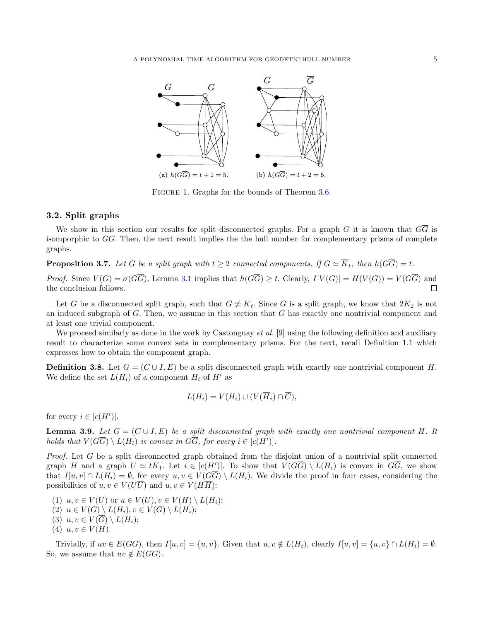

<span id="page-4-0"></span>Figure 1. Graphs for the bounds of Theorem [3.6.](#page-3-0)

# 3.2. Split graphs

We show in this section our results for split disconnected graphs. For a graph G it is known that  $G\overline{G}$  is isomporphic to  $\overline{G}G$ . Then, the next result implies the the hull number for complementary prisms of complete graphs.

<span id="page-4-3"></span>**Proposition 3.7.** Let G be a split graph with  $t \geq 2$  connected components. If  $G \simeq \overline{K}_t$ , then  $h(G\overline{G}) = t$ .

*Proof.* Since  $V(G) = \sigma(\overline{G})$ , Lemma [3.1](#page-2-4) implies that  $h(\overline{G}) \geq t$ . Clearly,  $I[V(G)] = H(V(G)) = V(\overline{G})$  and the conclusion follows.  $\Box$ 

Let G be a disconnected split graph, such that  $G \not\cong \overline{K}_t$ . Since G is a split graph, we know that  $2K_2$  is not an induced subgraph of  $G$ . Then, we assume in this section that  $G$  has exactly one nontrivial component and at least one trivial component.

We proceed similarly as done in the work by Castonguay *et al.* [\[9\]](#page-9-15) using the following definition and auxiliary result to characterize some convex sets in complementary prisms. For the next, recall Definition 1.1 which expresses how to obtain the component graph.

<span id="page-4-1"></span>**Definition 3.8.** Let  $G = (C \cup I, E)$  be a split disconnected graph with exactly one nontrivial component H. We define the set  $L(H_i)$  of a component  $H_i$  of  $H'$  as

$$
L(H_i) = V(H_i) \cup (V(\overline{H}_i) \cap \overline{C}),
$$

for every  $i \in [c(H')]$ .

<span id="page-4-2"></span>**Lemma 3.9.** Let  $G = (C \cup I, E)$  be a split disconnected graph with exactly one nontrivial component H. It holds that  $V(G\overline{G}) \setminus L(H_i)$  is convex in  $G\overline{G}$ , for every  $i \in [c(H')].$ 

Proof. Let G be a split disconnected graph obtained from the disjoint union of a nontrivial split connected graph H and a graph  $U \simeq tK_1$ . Let  $i \in [c(H')]$ . To show that  $V(G\overline{G}) \setminus L(H_i)$  is convex in  $G\overline{G}$ , we show that  $I[u, v] \cap L(H_i) = \emptyset$ , for every  $u, v \in V(G\overline{G}) \setminus L(H_i)$ . We divide the proof in four cases, considering the possibilities of  $u, v \in V(U\overline{U})$  and  $u, v \in V(H\overline{H})$ :

(1)  $u, v \in V(U)$  or  $u \in V(U), v \in V(H) \setminus L(H_i);$ (2)  $u \in V(G) \setminus L(H_i), v \in V(\overline{G}) \setminus L(H_i);$ (3)  $u, v \in V(G) \setminus L(H_i);$  $(4)$   $u, v \in V(H)$ .

Trivially, if  $uv \in E(G\overline{G})$ , then  $I[u, v] = \{u, v\}$ . Given that  $u, v \notin L(H_i)$ , clearly  $I[u, v] = \{u, v\} \cap L(H_i) = \emptyset$ . So, we assume that  $uv \notin E(G\overline{G})$ .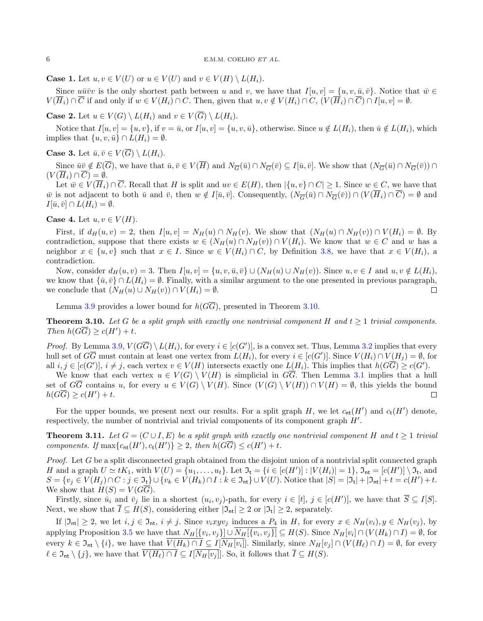**Case 1.** Let  $u, v \in V(U)$  or  $u \in V(U)$  and  $v \in V(H) \setminus L(H_i)$ .

Since  $u\bar{u}\bar{v}v$  is the only shortest path between u and v, we have that  $I[u, v] = \{u, v, \bar{u}, \bar{v}\}\.$  Notice that  $\bar{w} \in$  $V(\overline{H}_i) \cap \overline{C}$  if and only if  $w \in V(H_i) \cap C$ . Then, given that  $u, v \notin V(H_i) \cap C$ ,  $(V(\overline{H}_i) \cap \overline{C}) \cap I[u, v] = \emptyset$ .

**Case 2.** Let  $u \in V(G) \setminus L(H_i)$  and  $v \in V(\overline{G}) \setminus L(H_i)$ .

Notice that  $I[u, v] = \{u, v\}$ , if  $v = \bar{u}$ , or  $I[u, v] = \{u, v, \bar{u}\}$ , otherwise. Since  $u \notin L(H_i)$ , then  $\bar{u} \notin L(H_i)$ , which implies that  $\{u, v, \bar{u}\} \cap L(H_i) = \emptyset$ .

**Case 3.** Let  $\bar{u}, \bar{v} \in V(\overline{G}) \setminus L(H_i)$ .

Since  $\bar{u}\bar{v} \notin E(\overline{G})$ , we have that  $\bar{u}, \bar{v} \in V(\overline{H})$  and  $N_{\overline{G}}(\bar{u}) \cap N_{\overline{G}}(\bar{v}) \subseteq I[\bar{u}, \bar{v}]$ . We show that  $(N_{\overline{G}}(\bar{u}) \cap N_{\overline{G}}(\bar{v})) \cap$  $(V(\overline{H}_i) \cap \overline{C}) = \emptyset.$ 

Let  $\overline{w} \in V(\overline{H}_i) \cap \overline{C}$ . Recall that H is split and  $uv \in E(H)$ , then  $|\{u, v\} \cap C| \ge 1$ . Since  $w \in C$ , we have that w is not adjacent to both  $\bar{u}$  and  $\bar{v}$ , then  $w \notin I[\bar{u}, \bar{v}]$ . Consequently,  $(N_{\overline{G}}(\bar{u}) \cap N_{\overline{G}}(\bar{v})) \cap (V(\overline{H}_i) \cap \overline{C}) = \emptyset$  and  $I[\bar{u}, \bar{v}] \cap L(H_i) = \emptyset.$ 

Case 4. Let  $u, v \in V(H)$ .

First, if  $d_H(u, v) = 2$ , then  $I[u, v] = N_H(u) \cap N_H(v)$ . We show that  $(N_H(u) \cap N_H(v)) \cap V(H_i) = \emptyset$ . By contradiction, suppose that there exists  $w \in (N_H(u) \cap N_H(v)) \cap V(H_i)$ . We know that  $w \in C$  and w has a neighbor  $x \in \{u, v\}$  such that  $x \in I$ . Since  $w \in V(H_i) \cap C$ , by Definition [3.8,](#page-4-1) we have that  $x \in V(H_i)$ , a contradiction.

Now, consider  $d_H(u, v) = 3$ . Then  $I[u, v] = \{u, v, \bar{u}, \bar{v}\} \cup (N_H(u) \cup N_H(v))$ . Since  $u, v \in I$  and  $u, v \notin L(H_i)$ , we know that  $\{\bar{u}, \bar{v}\} \cap L(H_i) = \emptyset$ . Finally, with a similar argument to the one presented in previous paragraph, we conclude that  $(N_H(u) \cup N_H(v)) \cap V(H_i) = \emptyset$ .  $\Box$ 

Lemma [3.9](#page-4-2) provides a lower bound for  $h(G\overline{G})$ , presented in Theorem [3.10.](#page-5-0)

<span id="page-5-0"></span>**Theorem 3.10.** Let G be a split graph with exactly one nontrivial component H and  $t \geq 1$  trivial components. Then  $h(G\overline{G}) \geq c(H') + t$ .

*Proof.* By Lemma [3.9,](#page-4-2)  $V(G\overline{G}) \setminus L(H_i)$ , for every  $i \in [c(G')]$ , is a convex set. Thus, Lemma [3.2](#page-2-5) implies that every hull set of  $G\overline{G}$  must contain at least one vertex from  $L(H_i)$ , for every  $i \in [c(G')]$ . Since  $V(H_i) \cap V(H_j) = \emptyset$ , for all  $i, j \in [c(G')], i \neq j$ , each vertex  $v \in V(H)$  intersects exactly one  $L(H_i)$ . This implies that  $h(G\overline{G}) \geq c(G')$ .

We know that each vertex  $u \in V(G) \setminus V(H)$  is simplicial in  $G\overline{G}$ . Then Lemma [3.1](#page-2-4) implies that a hull set of  $G\overline{G}$  contains u, for every  $u \in V(G) \setminus V(H)$ . Since  $(V(G) \setminus V(H)) \cap V(H) = \emptyset$ , this yields the bound  $h(G\overline{G})\geq c(H')+t.$  $\Box$ 

For the upper bounds, we present next our results. For a split graph H, we let  $c_{nt}(H')$  and  $c_{t}(H')$  denote, respectively, the number of nontrivial and trivial components of its component graph  $H'$ .

<span id="page-5-1"></span>**Theorem 3.11.** Let  $G = (C \cup I, E)$  be a split graph with exactly one nontrivial component H and  $t \ge 1$  trivial components. If  $\max\{c_{\text{nt}}(H'), c_{\text{t}}(H')\} \geq 2$ , then  $h(G\overline{G}) \leq c(H') + t$ .

Proof. Let G be a split disconnected graph obtained from the disjoint union of a nontrivial split connected graph H and a graph  $U \simeq tK_1$ , with  $V(U) = \{u_1, \ldots, u_t\}$ . Let  $\mathfrak{I}_t = \{i \in [c(H')] : |V(H_i)| = 1\}$ ,  $\mathfrak{I}_{nt} = [c(H')] \setminus \mathfrak{I}_t$ , and  $S = \{v_j \in V(H_j) \cap C : j \in \mathfrak{I}_t\} \cup \{v_k \in V(H_k) \cap I : k \in \mathfrak{I}_{nt}\} \cup V(U)$ . Notice that  $|S| = |\mathfrak{I}_t| + |\mathfrak{I}_{nt}| + t = c(H') + t$ . We show that  $H(S) = V(G\overline{G}).$ 

Firstly, since  $\bar{u}_i$  and  $\bar{v}_j$  lie in a shortest  $(u_i, v_j)$ -path, for every  $i \in [t], j \in [c(H')],$  we have that  $\overline{S} \subseteq I[S].$ Next, we show that  $I \subseteq H(S)$ , considering either  $|\mathfrak{I}_{\mathsf{nt}}| \geq 2$  or  $|\mathfrak{I}_{\mathsf{t}}| \geq 2$ , separately.

If  $|\mathfrak{I}_{\mathsf{nt}}| \geq 2$ , we let  $i, j \in \mathfrak{I}_{\mathsf{nt}}, i \neq j$ . Since  $v_ixyv_j$  induces a  $P_4$  in H, for every  $x \in N_H(v_i), y \in N_H(v_j)$ , by applying Proposition [3.5](#page-2-6) we have that  $N_H[\{v_i, v_j\}] \cup N_H[\{v_i, v_j\}] \subseteq H(S)$ . Since  $N_H[v_i] \cap (V(H_k) \cap I) = \emptyset$ , for every  $k \in \mathfrak{I}_{\mathrm{nt}} \setminus \{i\}$ , we have that  $V(H_k) \cap I \subseteq I[N_H[v_i]]$ . Similarly, since  $N_H[v_j] \cap (V(H_\ell) \cap I) = \emptyset$ , for every  $\ell \in \mathfrak{I}_{\mathrm{nt}} \setminus \{j\}$ , we have that  $\overline{V(H_{\ell}) \cap I} \subseteq I[\overline{N_H[v_j]}]$ . So, it follows that  $\overline{I} \subseteq H(S)$ .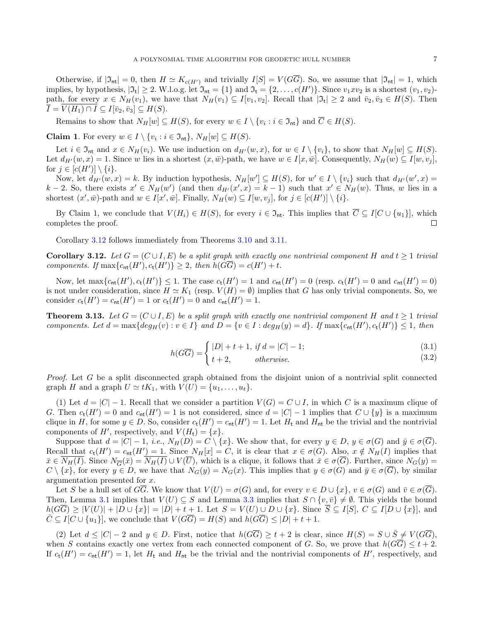Otherwise, if  $|\mathfrak{I}_{\mathsf{nt}}| = 0$ , then  $H \simeq K_{c(H')}$  and trivially  $I[S] = V(G\overline{G})$ . So, we assume that  $|\mathfrak{I}_{\mathsf{nt}}| = 1$ , which implies, by hypothesis,  $|\mathfrak{I}_{t}| \geq 2$ . W.l.o.g. let  $\mathfrak{I}_{nt} = \{1\}$  and  $\mathfrak{I}_{t} = \{2, \ldots, c(H')\}$ . Since  $v_1xv_2$  is a shortest  $(v_1, v_2)$ path, for every  $x \in N_H(v_1)$ , we have that  $N_H(v_1) \subseteq I[v_1, v_2]$ . Recall that  $|\mathfrak{I}_{\mathsf{t}}| \geq 2$  and  $\bar{v}_2, \bar{v}_3 \in H(S)$ . Then  $\overline{I} = V(H_1) \cap I \subseteq I[\overline{v}_2, \overline{v}_3] \subseteq H(S).$ 

Remains to show that  $N_H[w] \subseteq H(S)$ , for every  $w \in I \setminus \{v_i : i \in \mathfrak{I}_{\mathsf{nt}}\}$  and  $C \in H(S)$ .

**Claim 1.** For every  $w \in I \setminus \{v_i : i \in \mathfrak{I}_{\mathsf{nt}}\}, N_H[w] \subseteq H(S)$ .

Let  $i \in \mathfrak{I}_{\mathrm{nt}}$  and  $x \in N_H(v_i)$ . We use induction on  $d_{H'}(w, x)$ , for  $w \in I \setminus \{v_i\}$ , to show that  $N_H[w] \subseteq H(S)$ . Let  $d_{H'}(w, x) = 1$ . Since w lies in a shortest  $(x, \bar{w})$ -path, we have  $w \in I[x, \bar{w}]$ . Consequently,  $N_H(w) \subseteq I[w, v_i]$ , for  $j \in [c(H')] \setminus \{i\}.$ 

Now, let  $d_{H'}(w, x) = k$ . By induction hypothesis,  $N_H[w'] \subseteq H(S)$ , for  $w' \in I \setminus \{v_i\}$  such that  $d_{H'}(w', x) =$  $k-2$ . So, there exists  $x' \in N_H(w')$  (and then  $d_{H'}(x',x) = k-1$ ) such that  $x' \in N_H(w)$ . Thus, w lies in a shortest  $(x', \bar{w})$ -path and  $w \in I[x', \bar{w}]$ . Finally,  $N_H(w) \subseteq I[w, v_j]$ , for  $j \in [c(H')] \setminus \{i\}$ .

By Claim 1, we conclude that  $V(H_i) \in H(S)$ , for every  $i \in \mathfrak{I}_{\mathsf{nt}}$ . This implies that  $\overline{C} \subseteq I[C \cup \{u_1\}]$ , which completes the proof.  $\Box$ 

Corollary [3.12](#page-6-0) follows immediately from Theorems [3.10](#page-5-0) and [3.11.](#page-5-1)

<span id="page-6-0"></span>**Corollary 3.12.** Let  $G = (C \cup I, E)$  be a split graph with exactly one nontrivial component H and  $t \ge 1$  trivial components. If  $\max\{c_{\text{nt}}(H'), c_{\text{t}}(H')\} \geq 2$ , then  $h(G\overline{G}) = c(H') + t$ .

Now, let  $\max\{c_{\sf nt}(H'), c_{\sf t}(H')\} \leq 1$ . The case  $c_{\sf t}(H') = 1$  and  $c_{\sf nt}(H') = 0$  (resp.  $c_{\sf t}(H') = 0$  and  $c_{\sf nt}(H') = 0$ ) is not under consideration, since  $H \simeq K_1$  (resp.  $V(H) = \emptyset$ ) implies that G has only trivial components. So, we consider  $c_t(H') = c_{nt}(H') = 1$  or  $c_t(H') = 0$  and  $c_{nt}(H') = 1$ .

<span id="page-6-1"></span>**Theorem 3.13.** Let  $G = (C \cup I, E)$  be a split graph with exactly one nontrivial component H and  $t > 1$  trivial components. Let  $d = \max\{deg_H(v) : v \in I\}$  and  $D = \{v \in I : deg_H(y) = d\}$ . If  $\max\{c_{nt}(H'), c_t(H')\} \leq 1$ , then

$$
h(G\overline{G}) = \begin{cases} |D| + t + 1, & \text{if } d = |C| - 1; \\ & \text{(3.1)} \end{cases}
$$

$$
G) - \left( t + 2, \qquad \text{otherwise.} \tag{3.2}
$$

Proof. Let G be a split disconnected graph obtained from the disjoint union of a nontrivial split connected graph H and a graph  $U \simeq tK_1$ , with  $V(U) = \{u_1, \ldots, u_t\}.$ 

(1) Let  $d = |C| - 1$ . Recall that we consider a partition  $V(G) = C \cup I$ , in which C is a maximum clique of G. Then  $c_t(H') = 0$  and  $c_{nt}(H') = 1$  is not considered, since  $d = |C| - 1$  implies that  $C \cup \{y\}$  is a maximum clique in H, for some  $y \in D$ . So, consider  $c_t(H') = c_{nt}(H') = 1$ . Let  $H_t$  and  $H_{nt}$  be the trivial and the nontrivial components of  $H'$ , respectively, and  $V(H_t) = \{x\}.$ 

Suppose that  $d = |C| - 1$ , *i.e.*,  $N_H(D) = C \setminus \{x\}$ . We show that, for every  $y \in D$ ,  $y \in \sigma(G)$  and  $\overline{y} \in \sigma(\overline{G})$ . Recall that  $c_t(H') = c_{nt}(H') = 1$ . Since  $N_H[x] = C$ , it is clear that  $x \in \sigma(G)$ . Also,  $x \notin N_H(I)$  implies that  $\bar{x} \in N_H(I)$ . Since  $N_{\overline{G}}(\bar{x}) = N_H(I) \cup V(\overline{U})$ , which is a clique, it follows that  $\bar{x} \in \sigma(\overline{G})$ . Further, since  $N_G(y)$  $C \setminus \{x\}$ , for every  $y \in D$ , we have that  $N_G(y) = N_G(x)$ . This implies that  $y \in \sigma(G)$  and  $\overline{y} \in \sigma(\overline{G})$ , by similar argumentation presented for x.

Let S be a hull set of GG. We know that  $V(U) = \sigma(G)$  and, for every  $v \in D \cup \{x\}$ ,  $v \in \sigma(G)$  and  $\overline{v} \in \sigma(\overline{G})$ . Then, Lemma [3.1](#page-2-4) implies that  $V(U) \subseteq S$  and Lemma [3.3](#page-2-2) implies that  $S \cap \{v, \bar{v}\}\neq \emptyset$ . This yields the bound  $h(G\overline{G}) \geq |V(U)| + |D \cup \{x\}| = |D| + t + 1$ . Let  $S = V(U) \cup D \cup \{x\}$ . Since  $\overline{S} \subseteq I[S], C \subseteq I[D \cup \{x\}],$  and  $\overline{C} \subseteq I[C \cup \{u_1\}],$  we conclude that  $V(G\overline{G}) = H(S)$  and  $h(G\overline{G}) \leq |D| + t + 1$ .

(2) Let  $d \leq |C|-2$  and  $y \in D$ . First, notice that  $h(G\overline{G}) \geq t+2$  is clear, since  $H(S) = S \cup \overline{S} \neq V(G\overline{G}),$ when S contains exactly one vertex from each connected component of G. So, we prove that  $h(G\overline{G}) \leq t+2$ . If  $c_t(H') = c_{nt}(H') = 1$ , let  $H_t$  and  $H_{nt}$  be the trivial and the nontrivial components of  $H'$ , respectively, and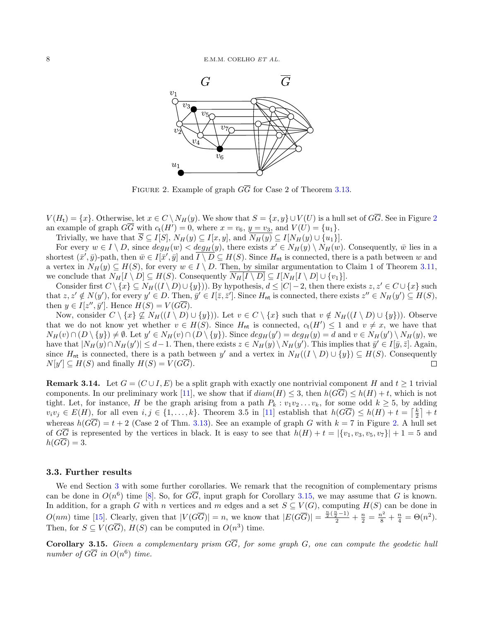

<span id="page-7-1"></span>FIGURE 2. Example of graph  $G\overline{G}$  for Case 2 of Theorem [3.13.](#page-6-1)

 $V(H_t) = \{x\}$ . Otherwise, let  $x \in C \setminus N_H(y)$ . We show that  $S = \{x, y\} \cup V(U)$  is a hull set of  $G\overline{G}$ . See in Figure [2](#page-7-1) an example of graph  $G\overline{G}$  with  $c_t(H') = 0$ , where  $x = v_6$ ,  $y = v_3$ , and  $V(U) = \{u_1\}.$ 

Trivially, we have that  $\overline{S} \subseteq I[S], N_H(y) \subseteq I[x, y],$  and  $\overline{N_H(y)} \subseteq I[N_H(y) \cup \{u_1\}].$ 

For every  $w \in I \setminus D$ , since  $deg_H(w) < deg_H(y)$ , there exists  $x' \in N_H(y) \setminus N_H(w)$ . Consequently,  $\bar{w}$  lies in a shortest  $(\bar{x}', \bar{y})$ -path, then  $\bar{w} \in I[\bar{x}', \bar{y}]$  and  $\overline{I \setminus D} \subseteq H(S)$ . Since  $H_{\sf nt}$  is connected, there is a path between w and a vertex in  $N_H(y) \subseteq H(S)$ , for every  $w \in I \setminus D$ . Then, by similar argumentation to Claim 1 of Theorem [3.11,](#page-5-1) we conclude that  $N_H[I \setminus D] \subseteq H(S)$ . Consequently  $\overline{N_H[I \setminus D]} \subseteq I[N_H[I \setminus D] \cup \{v_1\}].$ 

Consider first  $C \setminus \{x\} \subseteq N_H((I \setminus D) \cup \{y\})$ . By hypothesis,  $d \leq |C| - 2$ , then there exists  $z, z' \in C \cup \{x\}$  such that  $z, z' \notin N(y')$ , for every  $y' \in D$ . Then,  $\bar{y}' \in I[\bar{z}, \bar{z}']$ . Since  $H_{\mathsf{nt}}$  is connected, there exists  $z'' \in N_H(y') \subseteq H(S)$ , then  $y \in I[z'', \bar{y}']$ . Hence  $H(S) = V(G\overline{G})$ .

Now, consider  $C \setminus \{x\} \nsubseteq N_H((I \setminus D) \cup \{y\})$ . Let  $v \in C \setminus \{x\}$  such that  $v \notin N_H((I \setminus D) \cup \{y\})$ . Observe that we do not know yet whether  $v \in H(S)$ . Since  $H_{nt}$  is connected,  $c_t(H') \leq 1$  and  $v \neq x$ , we have that  $N_H(v) \cap (D \setminus \{y\}) \neq \emptyset$ . Let  $y' \in N_H(v) \cap (D \setminus \{y\})$ . Since  $deg_H(y') = deg_H(y) = d$  and  $v \in N_H(y') \setminus N_H(y)$ , we have that  $|N_H(y) \cap N_H(y')| \leq d-1$ . Then, there exists  $z \in N_H(y) \setminus N_H(y')$ . This implies that  $\bar{y}' \in I[\bar{y}, \bar{z}]$ . Again, since  $H_{\text{nt}}$  is connected, there is a path between y' and a vertex in  $N_H((I \setminus D) \cup \{y\}) \subseteq H(S)$ . Consequently  $N[y'] \subseteq H(S)$  and finally  $H(S) = V(G\overline{G}).$  $\Box$ 

<span id="page-7-0"></span>**Remark 3.14.** Let  $G = (C \cup I, E)$  be a split graph with exactly one nontrivial component H and  $t \ge 1$  trivial components. In our preliminary work [\[11\]](#page-9-14), we show that if  $diam(H) \leq 3$ , then  $h(G\overline{G}) \leq h(H) + t$ , which is not tight. Let, for instance, H be the graph arising from a path  $P_k : v_1v_2 \ldots v_k$ , for some odd  $k \geq 5$ , by adding  $v_i v_j \in E(H)$ , for all even  $i, j \in \{1, ..., k\}$ . Theorem 3.5 in [\[11\]](#page-9-14) establish that  $h(G\overline{G}) \leq h(H) + t = \lceil \frac{k}{2} \rceil + t$ whereas  $h(G\overline{G}) = t + 2$  (Case 2 of Thm. [3.13\)](#page-6-1). See an example of graph G with  $k = 7$  in Figure [2.](#page-7-1) A hull set of  $G\overline{G}$  is represented by the vertices in black. It is easy to see that  $h(H) + t = |\{v_1, v_3, v_5, v_7\}| + 1 = 5$  and  $h(G\overline{G})=3.$ 

### 3.3. Further results

We end Section [3](#page-2-1) with some further corollaries. We remark that the recognition of complementary prisms can be done in  $O(n^6)$  time [\[8\]](#page-9-22). So, for  $G\overline{G}$ , input graph for Corollary [3.15,](#page-7-2) we may assume that G is known. In addition, for a graph G with n vertices and m edges and a set  $S \subseteq V(G)$ , computing  $H(S)$  can be done in  $O(nm)$  time [\[15\]](#page-9-7). Clearly, given that  $|V(G\overline{G})| = n$ , we know that  $|E(G\overline{G})| = \frac{\frac{n}{2}(\frac{n}{2}-1)}{2} + \frac{n}{2} = \frac{n^2}{8} + \frac{n}{4} = \Theta(n^2)$ . Then, for  $S \subseteq V(G\overline{G})$ ,  $H(S)$  can be computed in  $O(n^3)$  time.

<span id="page-7-2"></span>**Corollary 3.15.** Given a complementary prism  $G\overline{G}$ , for some graph  $G$ , one can compute the geodetic hull number of  $G\overline{G}$  in  $O(n^6)$  time.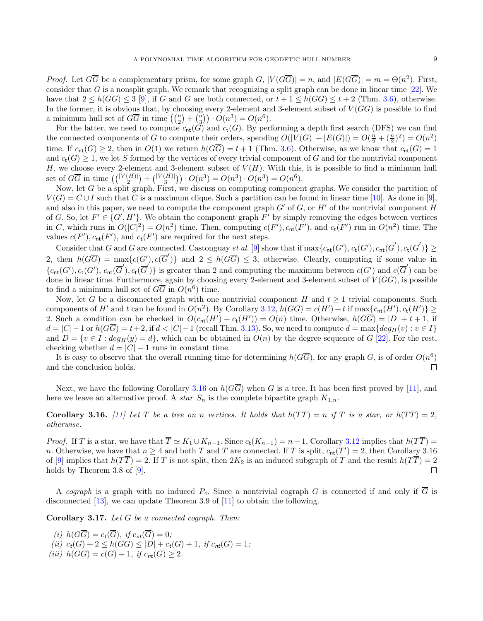*Proof.* Let  $G\overline{G}$  be a complementary prism, for some graph  $G$ ,  $|V(G\overline{G})| = n$ , and  $|E(G\overline{G})| = m = \Theta(n^2)$ . First, consider that G is a nonsplit graph. We remark that recognizing a split graph can be done in linear time  $[22]$ . We have that  $2 \leq h(G\overline{G}) \leq 3$  [\[9\]](#page-9-15), if G and  $\overline{G}$  are both connected, or  $t + 1 \leq h(G\overline{G}) \leq t + 2$  (Thm. [3.6\)](#page-3-0), otherwise. In the former, it is obvious that, by choosing every 2-element and 3-element subset of  $V(G\overline{G})$  is possible to find a minimum hull set of  $G\overline{G}$  in time  $\left(\binom{n}{2} + \binom{n}{3}\right) \cdot O(n^3) = O(n^6)$ .

For the latter, we need to compute  $c_{\text{nt}}(G)$  and  $c_{\text{t}}(G)$ . By performing a depth first search (DFS) we can find the connected components of G to compute their orders, spending  $O(|V(G)| + |E(G)|) = O(\frac{n}{2} + (\frac{n}{2})^2) = O(n^2)$ time. If  $c_{\text{nt}}(G) \geq 2$ , then in  $O(1)$  we return  $h(G\overline{G}) = t + 1$  (Thm. [3.6\)](#page-3-0). Otherwise, as we know that  $c_{\text{nt}}(G) = 1$ and  $c_t(G) \geq 1$ , we let S formed by the vertices of every trivial component of G and for the nontrivial component H, we choose every 2-element and 3-element subset of  $V(H)$ . With this, it is possible to find a minimum hull set of  $G\overline{G}$  in time  $\left( \binom{|V(H)|}{2} + \binom{|V(H)|}{3} \right) \cdot O(n^3) = O(n^3) \cdot O(n^3) = O(n^6)$ .

Now, let G be a split graph. First, we discuss on computing component graphs. We consider the partition of  $V(G) = C \cup I$  such that C is a maximum clique. Such a partition can be found in linear time [\[10\]](#page-9-24). As done in [\[9\]](#page-9-15), and also in this paper, we need to compute the component graph  $G'$  of G, or H' of the nontrivial component H of G. So, let  $F' \in \{G', H'\}$ . We obtain the component graph  $F'$  by simply removing the edges between vertices in C, which runs in  $O(|C|^2) = O(n^2)$  time. Then, computing  $c(F')$ ,  $c_{\text{nt}}(F')$ , and  $c_t(F')$  run in  $O(n^2)$  time. The values  $c(F')$ ,  $c_{\text{nt}}(F')$ , and  $c_{\text{t}}(F')$  are required for the next steps.

Consider that G and  $\overline{G}$  are connected. Castonguay et al. [\[9\]](#page-9-15) show that if  $\max\{c_{\sf nt}(G'), c_{\sf t}(G'), c_{\sf nt}(\overline{G}'), c_{\sf t}(\overline{G}')\} \ge$ 2, then  $h(G\overline{G}) = \max\{c(G'), c(\overline{G}')\}$  and  $2 \le h(G\overline{G}) \le 3$ , otherwise. Clearly, computing if some value in  ${c}_{\textsf{nt}}(G'), c_{\textsf{t}}(G'), c_{\textsf{nt}}(\overline{G}'), c_{\textsf{t}}(\overline{G}')$  is greater than 2 and computing the maximum between  $c(G')$  and  $c(\overline{G}')$  can be done in linear time. Furthermore, again by choosing every 2-element and 3-element subset of  $V(G\overline{G})$ , is possible to find a minimum hull set of  $G\overline{G}$  in  $O(n^6)$  time.

Now, let G be a disconnected graph with one nontrivial component H and  $t \geq 1$  trivial components. Such components of H' and t can be found in  $O(n^2)$ . By Corollary [3.12,](#page-6-0)  $h(G\overline{G}) = c(H') + t$  if  $\max\{c_{\sf nt}(H'), c_{\sf t}(H')\} \ge$ 2. Such a condition can be checked in  $O(c_{nt}(H') + c_t(H')) = O(n)$  time. Otherwise,  $h(G\overline{G}) = |D| + t + 1$ , if  $d = |C| - 1$  or  $h(G\overline{G}) = t + 2$ , if  $d < |C| - 1$  (recall Thm. [3.13\)](#page-6-1). So, we need to compute  $d = \max\{deg_H(v): v \in I\}$ and  $D = \{v \in I : deg_H(y) = d\}$ , which can be obtained in  $O(n)$  by the degree sequence of G [\[22\]](#page-9-23). For the rest, checking whether  $d = |C| - 1$  runs in constant time.

It is easy to observe that the overall running time for determining  $h(G\overline{G})$ , for any graph  $G$ , is of order  $O(n^6)$ and the conclusion holds.  $\Box$ 

Next, we have the following Corollary [3.16](#page-8-0) on  $h(G\overline{G})$  when G is a tree. It has been first proved by [\[11\]](#page-9-14), and here we leave an alternative proof. A *star*  $S_n$  is the complete bipartite graph  $K_{1,n}$ .

<span id="page-8-0"></span>**Corollary 3.16.** [\[11\]](#page-9-14) Let T be a tree on n vertices. It holds that  $h(T\overline{T}) = n$  if T is a star, or  $h(T\overline{T}) = 2$ , otherwise.

*Proof.* If T is a star, we have that  $\overline{T} \simeq K_1 \cup K_{n-1}$ . Since  $c_t(K_{n-1}) = n-1$ , Corollary [3.12](#page-6-0) implies that  $h(\overline{T}) =$ n. Otherwise, we have that  $n \ge 4$  and both T and  $\overline{T}$  are connected. If T is split,  $c_{\sf nt}(T') = 2$ , then Corollary 3.16 of [\[9\]](#page-9-15) implies that  $h(TT) = 2$ . If T is not split, then  $2K_2$  is an induced subgraph of T and the result  $h(TT) = 2$  $\Box$ holds by Theorem 3.8 of [\[9\]](#page-9-15).

A cograph is a graph with no induced  $P_4$ . Since a nontrivial cograph G is connected if and only if  $\overline{G}$  is disconnected [\[13\]](#page-9-25), we can update Theorem 3.9 of [\[11\]](#page-9-14) to obtain the following.

Corollary 3.17. Let G be a connected cograph. Then:

(i) 
$$
h(G\overline{G}) = c_t(\overline{G}), \text{ if } c_{nt}(\overline{G}) = 0;
$$
  
\n(ii) 
$$
c_t(\overline{G}) + 2 \leq h(G\overline{G}) \leq |D| + c_t(\overline{G}) + 1, \text{ if } c_{nt}(\overline{G}) = 1;
$$
  
\n(iii) 
$$
h(G\overline{G}) = c(\overline{G}) + 1, \text{ if } c_{nt}(\overline{G}) \geq 2.
$$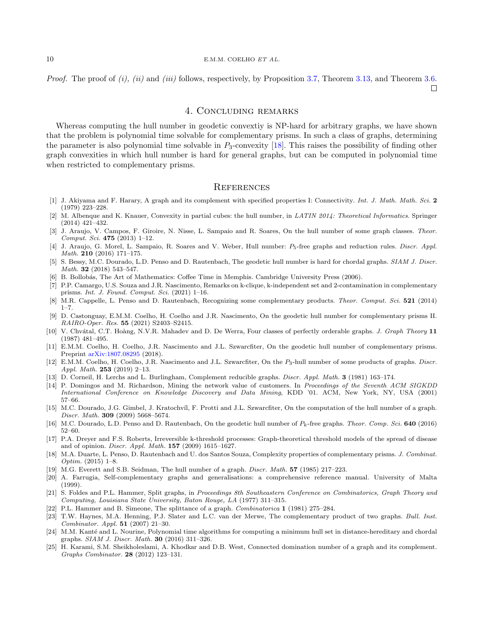#### $10$  E.M.M. COELHO ET AL.

*Proof.* The proof of  $(i)$ ,  $(ii)$  and  $(iii)$  follows, respectively, by Proposition [3.7,](#page-4-3) Theorem [3.13,](#page-6-1) and Theorem [3.6.](#page-3-0)

 $\Box$ 

# 4. Concluding remarks

<span id="page-9-19"></span>Whereas computing the hull number in geodetic convextiy is NP-hard for arbitrary graphs, we have shown that the problem is polynomial time solvable for complementary prisms. In such a class of graphs, determining the parameter is also polynomial time solvable in  $P_3$ -convexity [\[18\]](#page-9-12). This raises the possibility of finding other graph convexities in which hull number is hard for general graphs, but can be computed in polynomial time when restricted to complementary prisms.

#### **REFERENCES**

- <span id="page-9-17"></span>[1] J. Akiyama and F. Harary, A graph and its complement with specified properties I: Connectivity. Int. J. Math. Math. Sci. 2 (1979) 223–228.
- <span id="page-9-4"></span>[2] M. Albenque and K. Knauer, Convexity in partial cubes: the hull number, in LATIN 2014: Theoretical Informatics. Springer (2014) 421–432.
- <span id="page-9-3"></span>[3] J. Araujo, V. Campos, F. Giroire, N. Nisse, L. Sampaio and R. Soares, On the hull number of some graph classes. Theor. Comput. Sci. 475 (2013) 1–12.
- <span id="page-9-8"></span>[4] J. Araujo, G. Morel, L. Sampaio, R. Soares and V. Weber, Hull number:  $P_5$ -free graphs and reduction rules. Discr. Appl. Math. 210 (2016) 171–175.
- <span id="page-9-5"></span>[5] S. Bessy, M.C. Dourado, L.D. Penso and D. Rautenbach, The geodetic hull number is hard for chordal graphs. SIAM J. Discr. Math. 32 (2018) 543–547.
- <span id="page-9-0"></span>[6] B. Bollob´as, The Art of Mathematics: Coffee Time in Memphis. Cambridge University Press (2006).
- <span id="page-9-13"></span>[7] P.P. Camargo, U.S. Souza and J.R. Nascimento, Remarks on k-clique, k-independent set and 2-contamination in complementary prisms. Int. J. Found. Comput. Sci. (2021) 1–16.
- <span id="page-9-22"></span>[8] M.R. Cappelle, L. Penso and D. Rautenbach, Recognizing some complementary products. Theor. Comput. Sci. 521 (2014)  $1 - 7$ .
- <span id="page-9-15"></span>[9] D. Castonguay, E.M.M. Coelho, H. Coelho and J.R. Nascimento, On the geodetic hull number for complementary prisms II. RAIRO-Oper. Res. 55 (2021) S2403–S2415.
- <span id="page-9-24"></span>[10] V. Chvátal, C.T. Hoàng, N.V.R. Mahadev and D. De Werra, Four classes of perfectly orderable graphs. J. Graph Theory 11 (1987) 481–495.
- <span id="page-9-14"></span>[11] E.M.M. Coelho, H. Coelho, J.R. Nascimento and J.L. Szwarcfiter, On the geodetic hull number of complementary prisms. Preprint [arXiv:1807.08295](https://arxiv.org/abs/1807.08295) (2018).
- <span id="page-9-10"></span>[12] E.M.M. Coelho, H. Coelho, J.R. Nascimento and J.L. Szwarcfiter, On the P3-hull number of some products of graphs. Discr. Appl. Math. 253 (2019) 2–13.
- <span id="page-9-25"></span>[13] D. Corneil, H. Lerchs and L. Burlingham, Complement reducible graphs. Discr. Appl. Math. 3 (1981) 163–174.
- <span id="page-9-1"></span>[14] P. Domingos and M. Richardson, Mining the network value of customers. In Proceedings of the Seventh ACM SIGKDD International Conference on Knowledge Discovery and Data Mining, KDD '01. ACM, New York, NY, USA (2001) 57–66.
- <span id="page-9-7"></span>[15] M.C. Dourado, J.G. Gimbel, J. Kratochvíl, F. Protti and J.L. Szwarcfiter, On the computation of the hull number of a graph. Discr. Math. 309 (2009) 5668–5674.
- <span id="page-9-6"></span>[16] M.C. Dourado, L.D. Penso and D. Rautenbach, On the geodetic hull number of  $P_k$ -free graphs. Theor. Comp. Sci. 640 (2016) 52–60.
- <span id="page-9-2"></span>[17] P.A. Dreyer and F.S. Roberts, Irreversible k-threshold processes: Graph-theoretical threshold models of the spread of disease and of opinion. Discr. Appl. Math. 157 (2009) 1615–1627.
- <span id="page-9-12"></span>[18] M.A. Duarte, L. Penso, D. Rautenbach and U. dos Santos Souza, Complexity properties of complementary prisms. J. Combinat. Optim. (2015) 1–8.
- <span id="page-9-20"></span>[19] M.G. Everett and S.B. Seidman, The hull number of a graph. Discr. Math. 57 (1985) 217–223.
- <span id="page-9-16"></span>[20] A. Farrugia, Self-complementary graphs and generalisations: a comprehensive reference manual. University of Malta (1999).
- <span id="page-9-21"></span>[21] S. Foldes and P.L. Hammer, Split graphs, in Proceedings 8th Southeastern Conference on Combinatorics, Graph Theory and Computing, Louisiana State University, Baton Rouge, LA (1977) 311–315.
- <span id="page-9-23"></span>[22] P.L. Hammer and B. Simeone, The splittance of a graph. Combinatorica 1 (1981) 275–284.
- <span id="page-9-11"></span>[23] T.W. Haynes, M.A. Henning, P.J. Slater and L.C. van der Merwe, The complementary product of two graphs. Bull. Inst. Combinator. Appl. 51 (2007) 21–30.
- <span id="page-9-9"></span>[24] M.M. Kanté and L. Nourine, Polynomial time algorithms for computing a minimum hull set in distance-hereditary and chordal graphs. SIAM J. Discr. Math. 30 (2016) 311–326.
- <span id="page-9-18"></span>[25] H. Karami, S.M. Sheikholeslami, A. Khodkar and D.B. West, Connected domination number of a graph and its complement. Graphs Combinator. 28 (2012) 123–131.